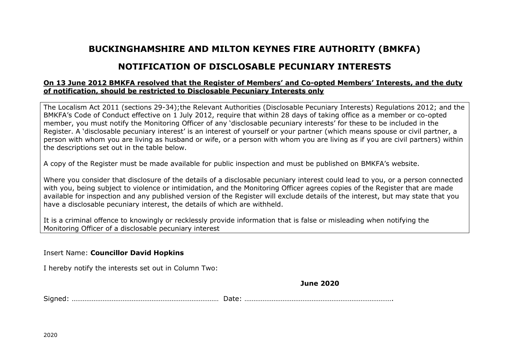# **BUCKINGHAMSHIRE AND MILTON KEYNES FIRE AUTHORITY (BMKFA)**

# **NOTIFICATION OF DISCLOSABLE PECUNIARY INTERESTS**

## **On 13 June 2012 BMKFA resolved that the Register of Members' and Co-opted Members' Interests, and the duty of notification, should be restricted to Disclosable Pecuniary Interests only**

The Localism Act 2011 (sections 29-34);the Relevant Authorities (Disclosable Pecuniary Interests) Regulations 2012; and the BMKFA's Code of Conduct effective on 1 July 2012, require that within 28 days of taking office as a member or co-opted member, you must notify the Monitoring Officer of any 'disclosable pecuniary interests' for these to be included in the Register. A 'disclosable pecuniary interest' is an interest of yourself or your partner (which means spouse or civil partner, a person with whom you are living as husband or wife, or a person with whom you are living as if you are civil partners) within the descriptions set out in the table below.

A copy of the Register must be made available for public inspection and must be published on BMKFA's website.

Where you consider that disclosure of the details of a disclosable pecuniary interest could lead to you, or a person connected with you, being subject to violence or intimidation, and the Monitoring Officer agrees copies of the Register that are made available for inspection and any published version of the Register will exclude details of the interest, but may state that you have a disclosable pecuniary interest, the details of which are withheld.

It is a criminal offence to knowingly or recklessly provide information that is false or misleading when notifying the Monitoring Officer of a disclosable pecuniary interest

### Insert Name: **Councillor David Hopkins**

I hereby notify the interests set out in Column Two:

### **June 2020**

Signed: ……………………………………………………………………… Date: ……………………………………………………………………….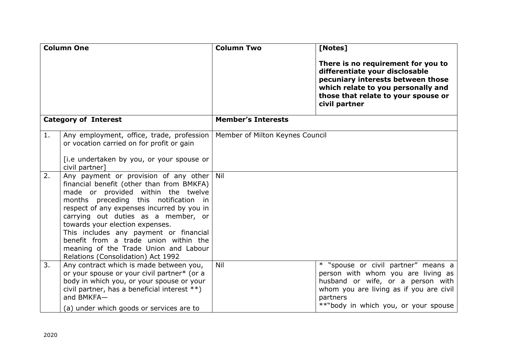| <b>Column One</b>           |                                                                                                                                                                                                                                                                                                                                                                                                                                                                 | <b>Column Two</b>               | [Notes]                                                                                                                                                                                                       |
|-----------------------------|-----------------------------------------------------------------------------------------------------------------------------------------------------------------------------------------------------------------------------------------------------------------------------------------------------------------------------------------------------------------------------------------------------------------------------------------------------------------|---------------------------------|---------------------------------------------------------------------------------------------------------------------------------------------------------------------------------------------------------------|
|                             |                                                                                                                                                                                                                                                                                                                                                                                                                                                                 |                                 | There is no requirement for you to<br>differentiate your disclosable<br>pecuniary interests between those<br>which relate to you personally and<br>those that relate to your spouse or<br>civil partner       |
| <b>Category of Interest</b> |                                                                                                                                                                                                                                                                                                                                                                                                                                                                 | <b>Member's Interests</b>       |                                                                                                                                                                                                               |
| 1.                          | Any employment, office, trade, profession<br>or vocation carried on for profit or gain<br>[i.e undertaken by you, or your spouse or<br>civil partner]                                                                                                                                                                                                                                                                                                           | Member of Milton Keynes Council |                                                                                                                                                                                                               |
| 2.                          | Any payment or provision of any other Nil<br>financial benefit (other than from BMKFA)<br>made or provided within the twelve<br>months preceding this notification in<br>respect of any expenses incurred by you in<br>carrying out duties as a member, or<br>towards your election expenses.<br>This includes any payment or financial<br>benefit from a trade union within the<br>meaning of the Trade Union and Labour<br>Relations (Consolidation) Act 1992 |                                 |                                                                                                                                                                                                               |
| 3.                          | Any contract which is made between you,<br>or your spouse or your civil partner* (or a<br>body in which you, or your spouse or your<br>civil partner, has a beneficial interest **)<br>and BMKFA-<br>(a) under which goods or services are to                                                                                                                                                                                                                   | Nil                             | * "spouse or civil partner" means a<br>person with whom you are living as<br>husband or wife, or a person with<br>whom you are living as if you are civil<br>partners<br>**"body in which you, or your spouse |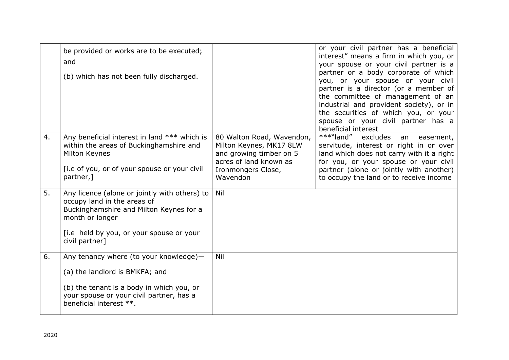|    | be provided or works are to be executed;<br>and<br>(b) which has not been fully discharged.                                                                                                              |                                                                                                                                             | or your civil partner has a beneficial<br>interest" means a firm in which you, or<br>your spouse or your civil partner is a<br>partner or a body corporate of which<br>you, or your spouse or your civil<br>partner is a director (or a member of<br>the committee of management of an<br>industrial and provident society), or in<br>the securities of which you, or your<br>spouse or your civil partner has a<br>beneficial interest |
|----|----------------------------------------------------------------------------------------------------------------------------------------------------------------------------------------------------------|---------------------------------------------------------------------------------------------------------------------------------------------|-----------------------------------------------------------------------------------------------------------------------------------------------------------------------------------------------------------------------------------------------------------------------------------------------------------------------------------------------------------------------------------------------------------------------------------------|
| 4. | Any beneficial interest in land *** which is<br>within the areas of Buckinghamshire and<br>Milton Keynes<br>[i.e of you, or of your spouse or your civil<br>partner,]                                    | 80 Walton Road, Wavendon,<br>Milton Keynes, MK17 8LW<br>and growing timber on 5<br>acres of land known as<br>Ironmongers Close,<br>Wavendon | ***"land"<br>excludes<br>an<br>easement,<br>servitude, interest or right in or over<br>land which does not carry with it a right<br>for you, or your spouse or your civil<br>partner (alone or jointly with another)<br>to occupy the land or to receive income                                                                                                                                                                         |
| 5. | Any licence (alone or jointly with others) to<br>occupy land in the areas of<br>Buckinghamshire and Milton Keynes for a<br>month or longer<br>[i.e held by you, or your spouse or your<br>civil partner] | Nil                                                                                                                                         |                                                                                                                                                                                                                                                                                                                                                                                                                                         |
| 6. | Any tenancy where (to your knowledge)-<br>(a) the landlord is BMKFA; and<br>(b) the tenant is a body in which you, or<br>your spouse or your civil partner, has a<br>beneficial interest **.             | Nil                                                                                                                                         |                                                                                                                                                                                                                                                                                                                                                                                                                                         |